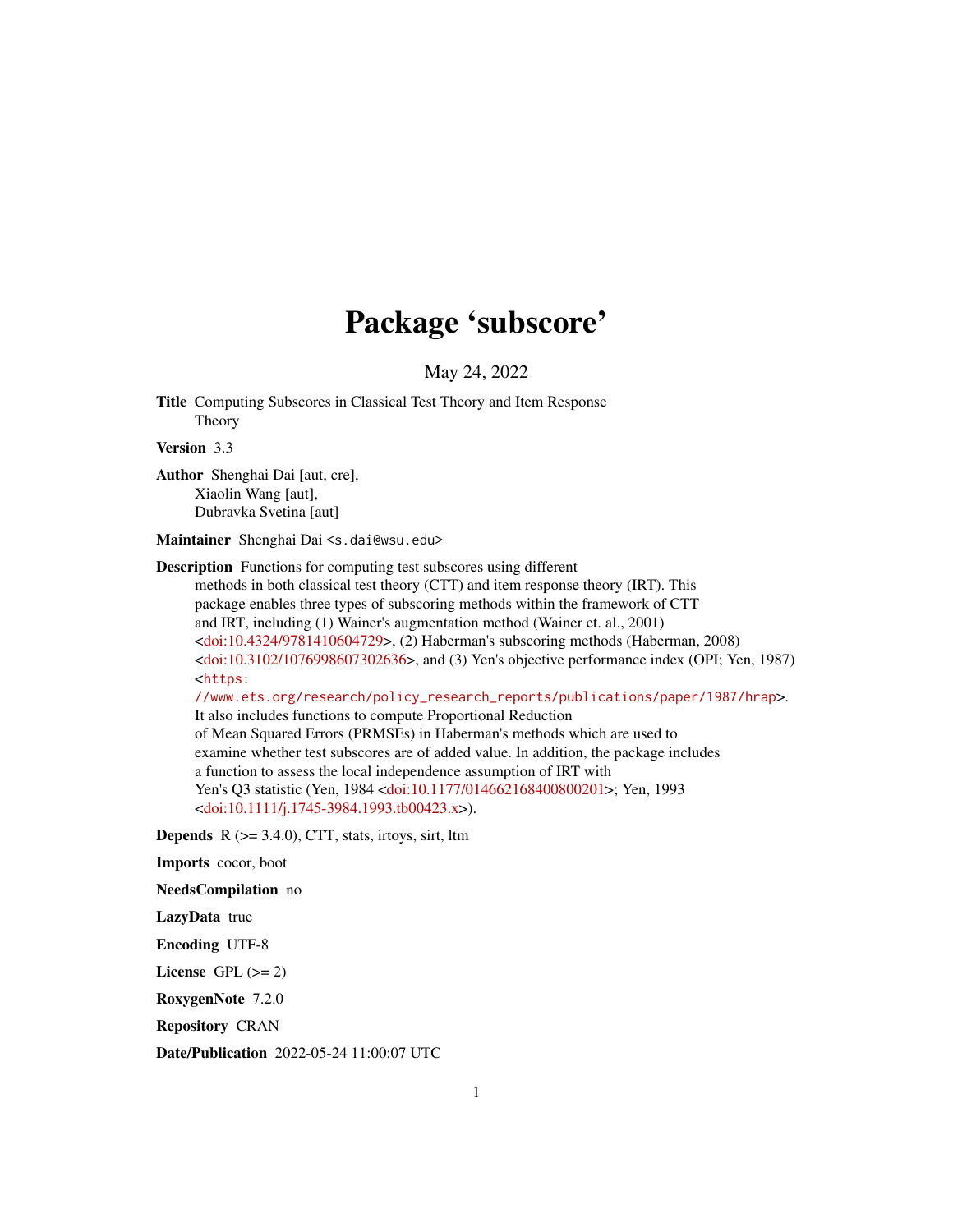## Package 'subscore'

May 24, 2022

Title Computing Subscores in Classical Test Theory and Item Response Theory

Version 3.3

Author Shenghai Dai [aut, cre], Xiaolin Wang [aut], Dubravka Svetina [aut]

Maintainer Shenghai Dai <s.dai@wsu.edu>

Description Functions for computing test subscores using different

methods in both classical test theory (CTT) and item response theory (IRT). This package enables three types of subscoring methods within the framework of CTT and IRT, including (1) Wainer's augmentation method (Wainer et. al., 2001) [<doi:10.4324/9781410604729>](https://doi.org/10.4324/9781410604729), (2) Haberman's subscoring methods (Haberman, 2008) [<doi:10.3102/1076998607302636>](https://doi.org/10.3102/1076998607302636), and (3) Yen's objective performance index (OPI; Yen, 1987) <[https:](https://www.ets.org/research/policy_research_reports/publications/paper/1987/hrap)

[//www.ets.org/research/policy\\_research\\_reports/publications/paper/1987/hrap](https://www.ets.org/research/policy_research_reports/publications/paper/1987/hrap)>.

It also includes functions to compute Proportional Reduction of Mean Squared Errors (PRMSEs) in Haberman's methods which are used to examine whether test subscores are of added value. In addition, the package includes a function to assess the local independence assumption of IRT with Yen's Q3 statistic (Yen, 1984 [<doi:10.1177/014662168400800201>](https://doi.org/10.1177/014662168400800201); Yen, 1993 [<doi:10.1111/j.1745-3984.1993.tb00423.x>](https://doi.org/10.1111/j.1745-3984.1993.tb00423.x)).

**Depends**  $R$  ( $>= 3.4.0$ ), CTT, stats, irtoys, sirt, ltm

Imports cocor, boot

NeedsCompilation no

LazyData true

Encoding UTF-8

License GPL  $(>= 2)$ 

RoxygenNote 7.2.0

Repository CRAN

Date/Publication 2022-05-24 11:00:07 UTC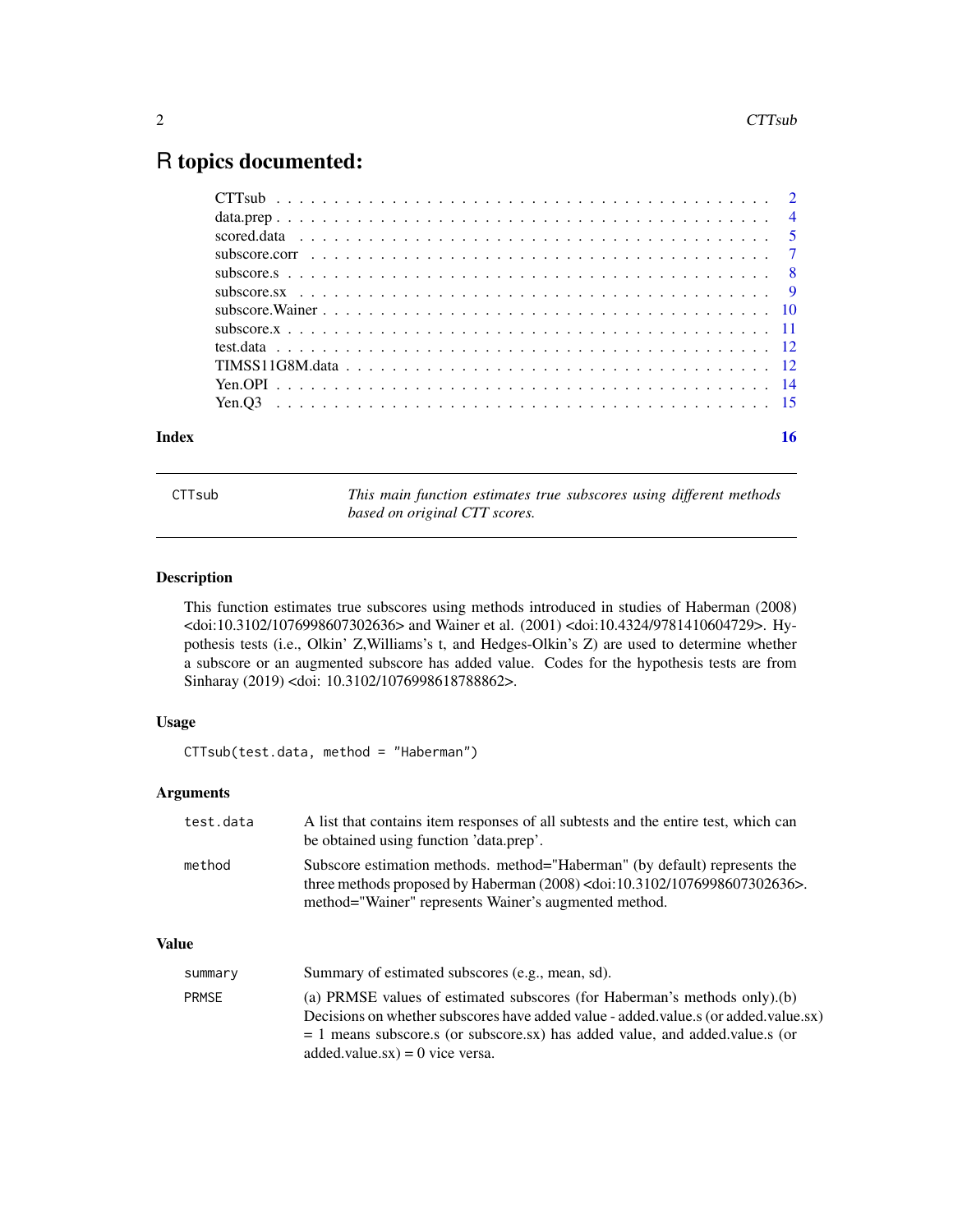### <span id="page-1-0"></span>R topics documented:

|       | subscore.corr $\ldots \ldots \ldots \ldots \ldots \ldots \ldots \ldots \ldots \ldots \ldots \ldots \ldots$ |  |
|-------|------------------------------------------------------------------------------------------------------------|--|
|       |                                                                                                            |  |
|       |                                                                                                            |  |
|       |                                                                                                            |  |
|       |                                                                                                            |  |
|       |                                                                                                            |  |
|       |                                                                                                            |  |
|       |                                                                                                            |  |
|       |                                                                                                            |  |
| Index |                                                                                                            |  |

CTTsub *This main function estimates true subscores using different methods based on original CTT scores.*

#### Description

This function estimates true subscores using methods introduced in studies of Haberman (2008) <doi:10.3102/1076998607302636> and Wainer et al. (2001) <doi:10.4324/9781410604729>. Hypothesis tests (i.e., Olkin' Z,Williams's t, and Hedges-Olkin's Z) are used to determine whether a subscore or an augmented subscore has added value. Codes for the hypothesis tests are from Sinharay (2019) <doi: 10.3102/1076998618788862>.

#### Usage

CTTsub(test.data, method = "Haberman")

#### Arguments

| test.data | A list that contains item responses of all subtests and the entire test, which can<br>be obtained using function 'data.prep'.                                                                                       |
|-----------|---------------------------------------------------------------------------------------------------------------------------------------------------------------------------------------------------------------------|
| method    | Subscore estimation methods. method="Haberman" (by default) represents the<br>three methods proposed by Haberman $(2008)$ < doi:10.3102/1076998607302636>.<br>method="Wainer" represents Wainer's augmented method. |

#### Value

| summary      | Summary of estimated subscores (e.g., mean, sd).                                                                                                                                                                                                                                         |
|--------------|------------------------------------------------------------------------------------------------------------------------------------------------------------------------------------------------------------------------------------------------------------------------------------------|
| <b>PRMSE</b> | (a) PRMSE values of estimated subscores (for Haberman's methods only).(b)<br>Decisions on whether subscores have added value - added value s (or added value sx)<br>$= 1$ means subscore.s (or subscore.sx) has added value, and added value s (or<br>added.value.sx $) = 0$ vice versa. |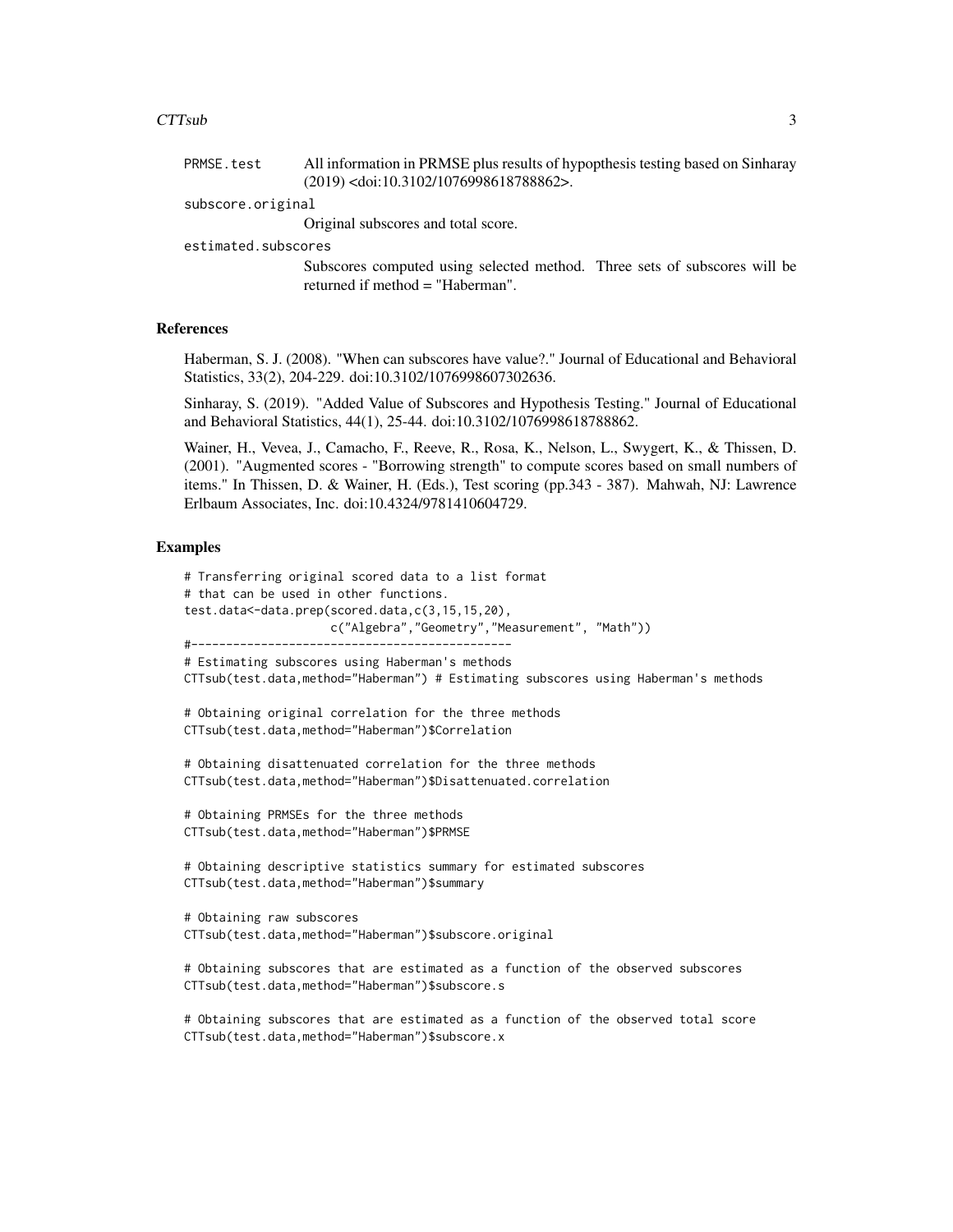#### $CTTsub$  3

| PRMSE.test          | All information in PRMSE plus results of hypopthesis testing based on Sinharay |  |
|---------------------|--------------------------------------------------------------------------------|--|
|                     | $(2019)$ <doi:10.3102 1076998618788862="">.</doi:10.3102>                      |  |
| subscore.original   |                                                                                |  |
|                     | Original subscores and total score.                                            |  |
| estimated.subscores |                                                                                |  |
|                     | Subscores computed using selected method. Three sets of subscores will be      |  |

returned if method = "Haberman".

#### References

Haberman, S. J. (2008). "When can subscores have value?." Journal of Educational and Behavioral Statistics, 33(2), 204-229. doi:10.3102/1076998607302636.

Sinharay, S. (2019). "Added Value of Subscores and Hypothesis Testing." Journal of Educational and Behavioral Statistics, 44(1), 25-44. doi:10.3102/1076998618788862.

Wainer, H., Vevea, J., Camacho, F., Reeve, R., Rosa, K., Nelson, L., Swygert, K., & Thissen, D. (2001). "Augmented scores - "Borrowing strength" to compute scores based on small numbers of items." In Thissen, D. & Wainer, H. (Eds.), Test scoring (pp.343 - 387). Mahwah, NJ: Lawrence Erlbaum Associates, Inc. doi:10.4324/9781410604729.

#### Examples

```
# Transferring original scored data to a list format
# that can be used in other functions.
test.data<-data.prep(scored.data,c(3,15,15,20),
                     c("Algebra","Geometry","Measurement", "Math"))
#----------------------------------------------
# Estimating subscores using Haberman's methods
CTTsub(test.data,method="Haberman") # Estimating subscores using Haberman's methods
# Obtaining original correlation for the three methods
CTTsub(test.data,method="Haberman")$Correlation
# Obtaining disattenuated correlation for the three methods
CTTsub(test.data,method="Haberman")$Disattenuated.correlation
# Obtaining PRMSEs for the three methods
CTTsub(test.data,method="Haberman")$PRMSE
# Obtaining descriptive statistics summary for estimated subscores
CTTsub(test.data,method="Haberman")$summary
# Obtaining raw subscores
CTTsub(test.data,method="Haberman")$subscore.original
# Obtaining subscores that are estimated as a function of the observed subscores
CTTsub(test.data,method="Haberman")$subscore.s
```
# Obtaining subscores that are estimated as a function of the observed total score CTTsub(test.data,method="Haberman")\$subscore.x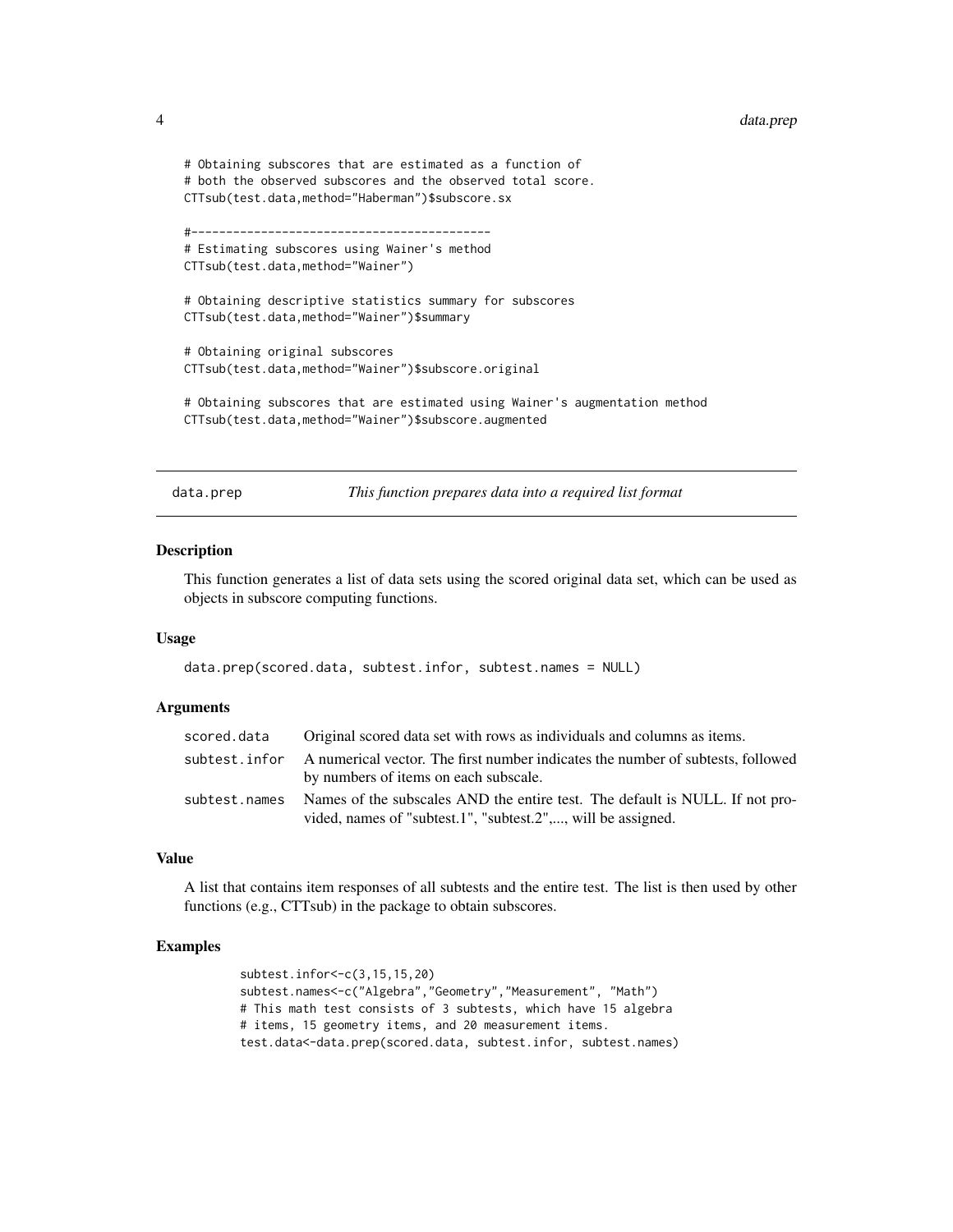```
# Obtaining subscores that are estimated as a function of
# both the observed subscores and the observed total score.
CTTsub(test.data,method="Haberman")$subscore.sx
#-------------------------------------------
# Estimating subscores using Wainer's method
CTTsub(test.data,method="Wainer")
# Obtaining descriptive statistics summary for subscores
CTTsub(test.data,method="Wainer")$summary
# Obtaining original subscores
CTTsub(test.data,method="Wainer")$subscore.original
# Obtaining subscores that are estimated using Wainer's augmentation method
CTTsub(test.data,method="Wainer")$subscore.augmented
```
data.prep *This function prepares data into a required list format*

#### **Description**

This function generates a list of data sets using the scored original data set, which can be used as objects in subscore computing functions.

#### Usage

data.prep(scored.data, subtest.infor, subtest.names = NULL)

#### Arguments

| scored.data   | Original scored data set with rows as individuals and columns as items.                        |
|---------------|------------------------------------------------------------------------------------------------|
|               | subtest, infor A numerical vector. The first number indicates the number of subtests, followed |
|               | by numbers of items on each subscale.                                                          |
| subtest.names | Names of the subscales AND the entire test. The default is NULL. If not pro-                   |
|               | vided, names of "subtest.1", "subtest.2",, will be assigned.                                   |

#### Value

A list that contains item responses of all subtests and the entire test. The list is then used by other functions (e.g., CTTsub) in the package to obtain subscores.

#### Examples

```
subtest.infor<-c(3,15,15,20)
subtest.names<-c("Algebra","Geometry","Measurement", "Math")
# This math test consists of 3 subtests, which have 15 algebra
# items, 15 geometry items, and 20 measurement items.
test.data<-data.prep(scored.data, subtest.infor, subtest.names)
```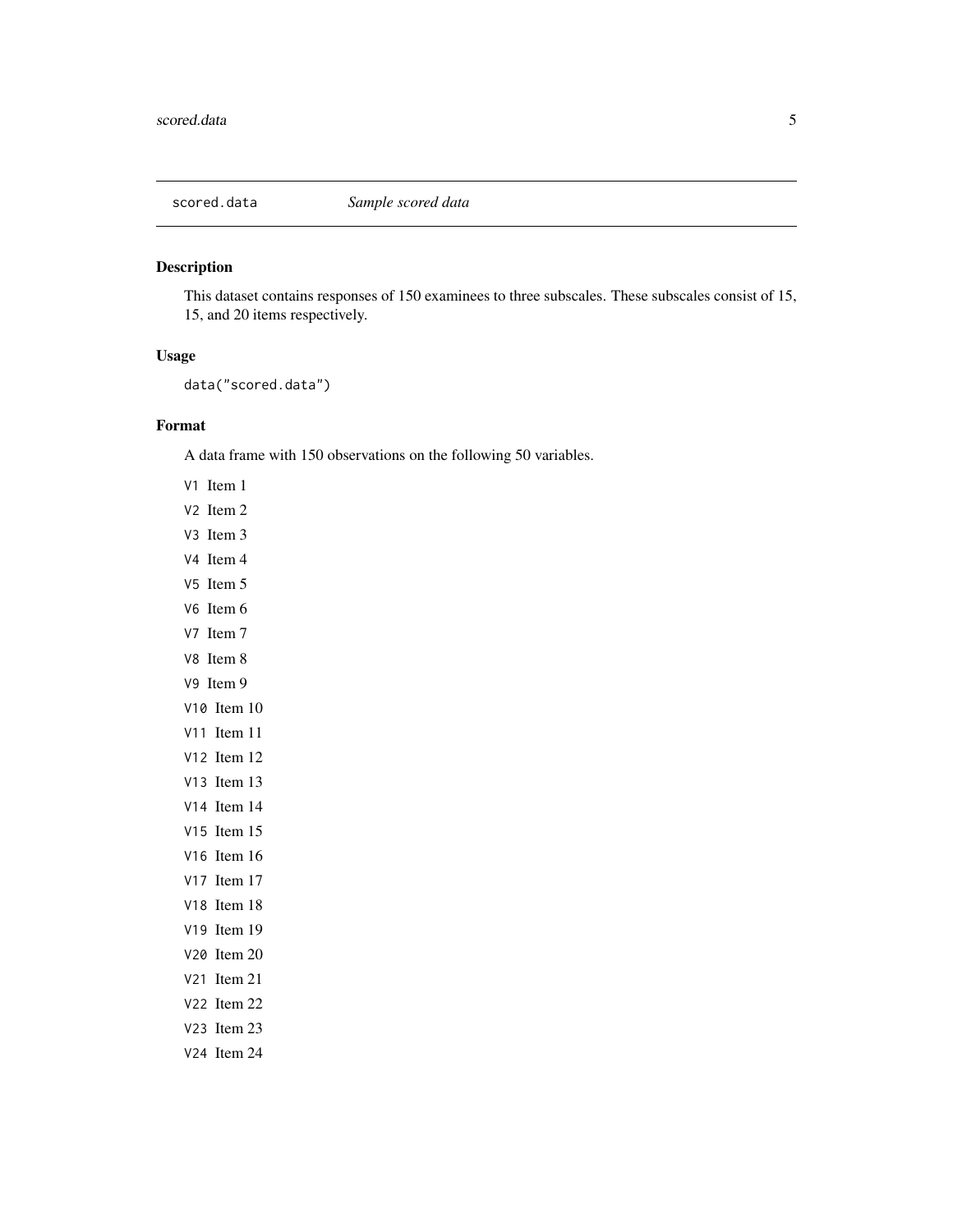<span id="page-4-0"></span>

This dataset contains responses of 150 examinees to three subscales. These subscales consist of 15, 15, and 20 items respectively.

#### Usage

data("scored.data")

#### Format

A data frame with 150 observations on the following 50 variables.

- V1 Item 1
- V2 Item 2
- V3 Item 3
- V4 Item 4
- V5 Item 5
- V6 Item 6
- V7 Item 7
- V8 Item 8
- V9 Item 9
- V10 Item 10
- V11 Item 11
- V12 Item 12
- V13 Item 13
- V14 Item 14
- V15 Item 15
- V16 Item 16
- V17 Item 17
- V18 Item 18
- V19 Item 19
- V20 Item 20
- V21 Item 21
- V22 Item 22
- V23 Item 23 V24 Item 24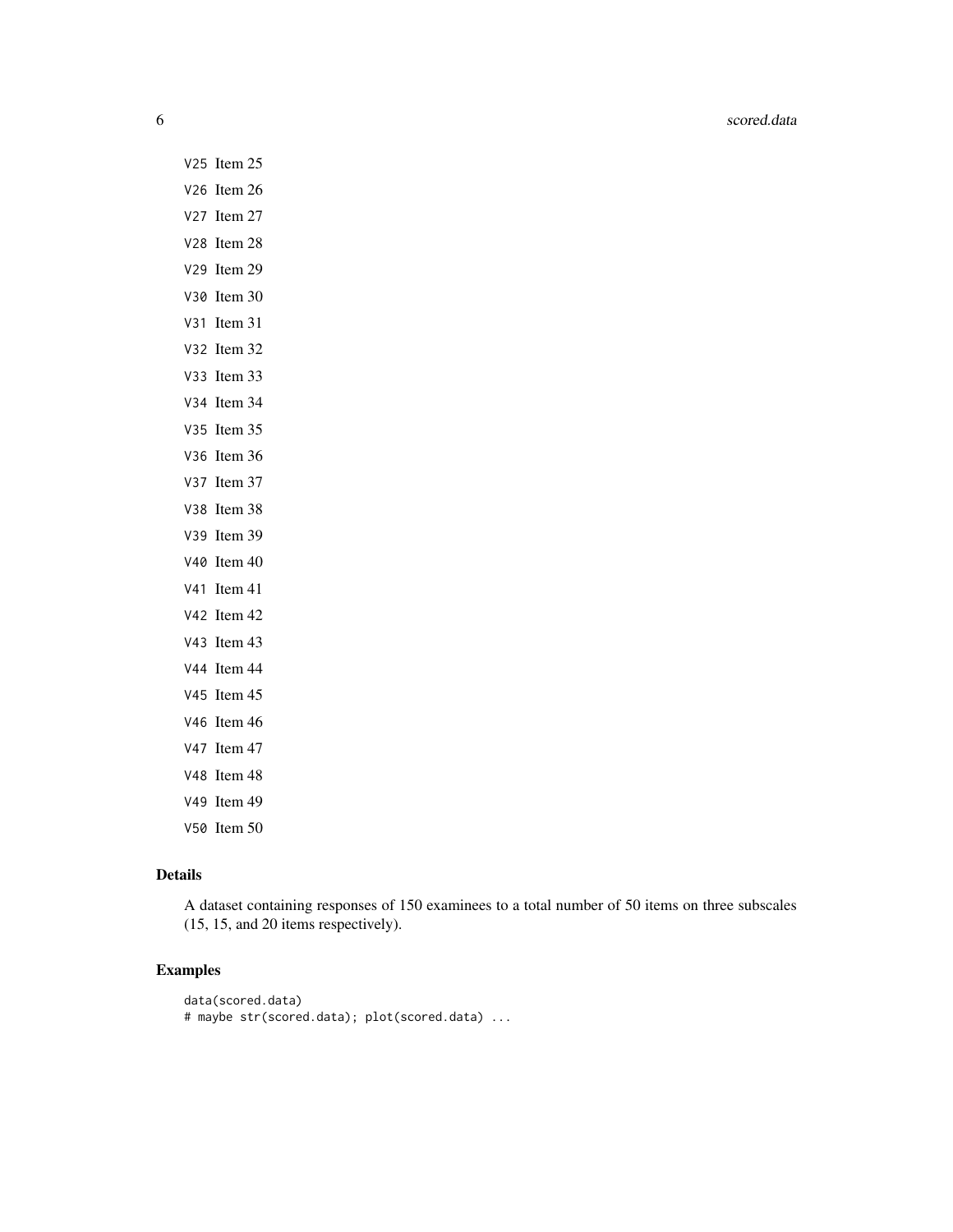- V25 Item 25
- V26 Item 26
- V27 Item 27 V28 Item 28
- V29 Item 29
- V30 Item 30
- V31 Item 31
- V32 Item 32
- V33 Item 33
- V34 Item 34
- V35 Item 35
- V36 Item 36
- V37 Item 37
- V38 Item 38
- V39 Item 39
- V40 Item 40
- V41 Item 41
- V42 Item 42
- V43 Item 43
- V44 Item 44
- V45 Item 45
- V46 Item 46
- V47 Item 47
- V48 Item 48
- V49 Item 49
- V50 Item 50

#### Details

A dataset containing responses of 150 examinees to a total number of 50 items on three subscales (15, 15, and 20 items respectively).

#### Examples

```
data(scored.data)
# maybe str(scored.data); plot(scored.data) ...
```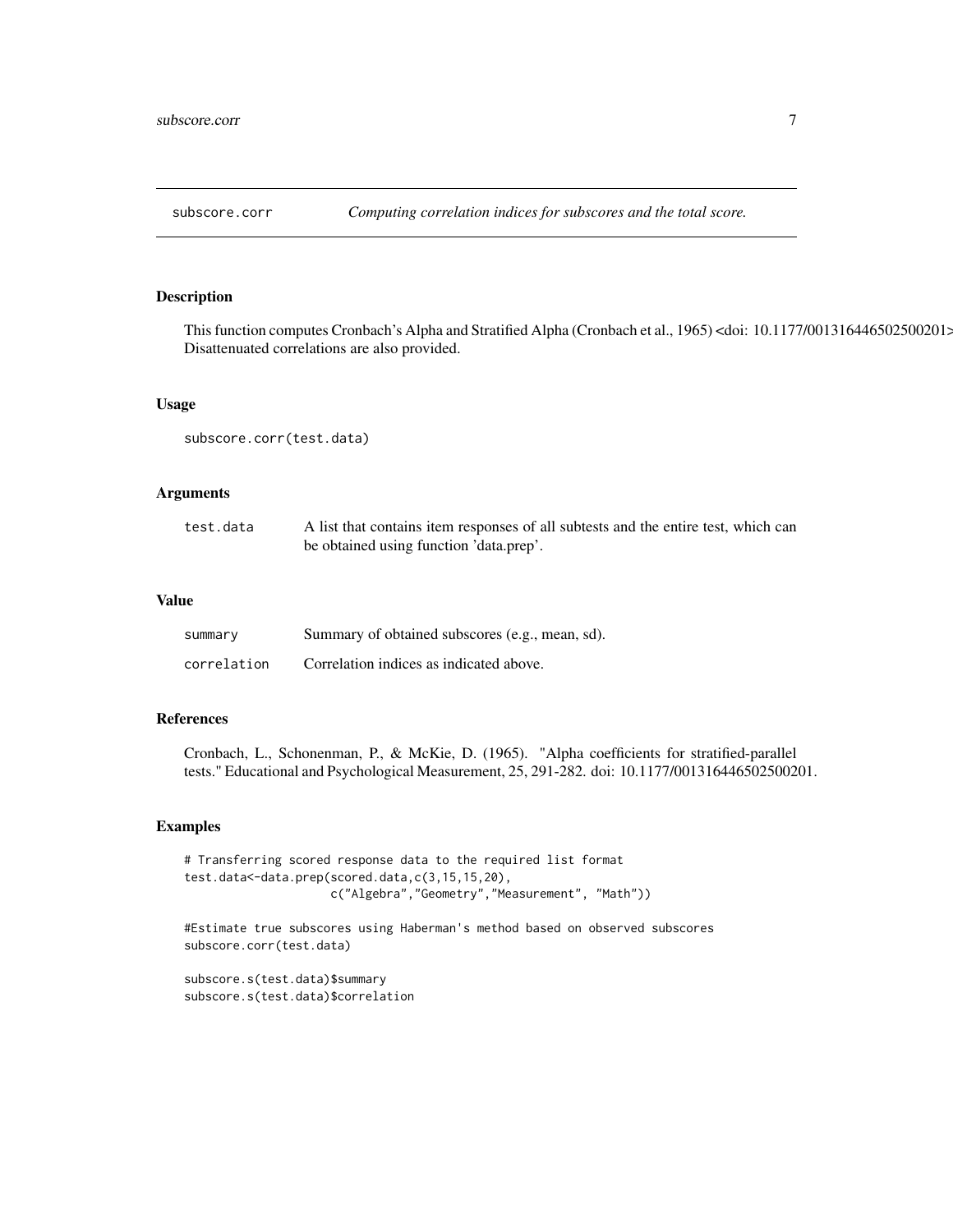<span id="page-6-0"></span>

This function computes Cronbach's Alpha and Stratified Alpha (Cronbach et al., 1965) <doi: 10.1177/001316446502500201>. Disattenuated correlations are also provided.

#### Usage

subscore.corr(test.data)

#### Arguments

| test.data | A list that contains item responses of all subtests and the entire test, which can |
|-----------|------------------------------------------------------------------------------------|
|           | be obtained using function 'data.prep'.                                            |

#### Value

| summary     | Summary of obtained subscores (e.g., mean, sd). |
|-------------|-------------------------------------------------|
| correlation | Correlation indices as indicated above.         |

#### References

Cronbach, L., Schonenman, P., & McKie, D. (1965). "Alpha coefficients for stratified-parallel tests." Educational and Psychological Measurement, 25, 291-282. doi: 10.1177/001316446502500201.

#### Examples

```
# Transferring scored response data to the required list format
test.data<-data.prep(scored.data,c(3,15,15,20),
                     c("Algebra","Geometry","Measurement", "Math"))
```
#Estimate true subscores using Haberman's method based on observed subscores subscore.corr(test.data)

subscore.s(test.data)\$summary subscore.s(test.data)\$correlation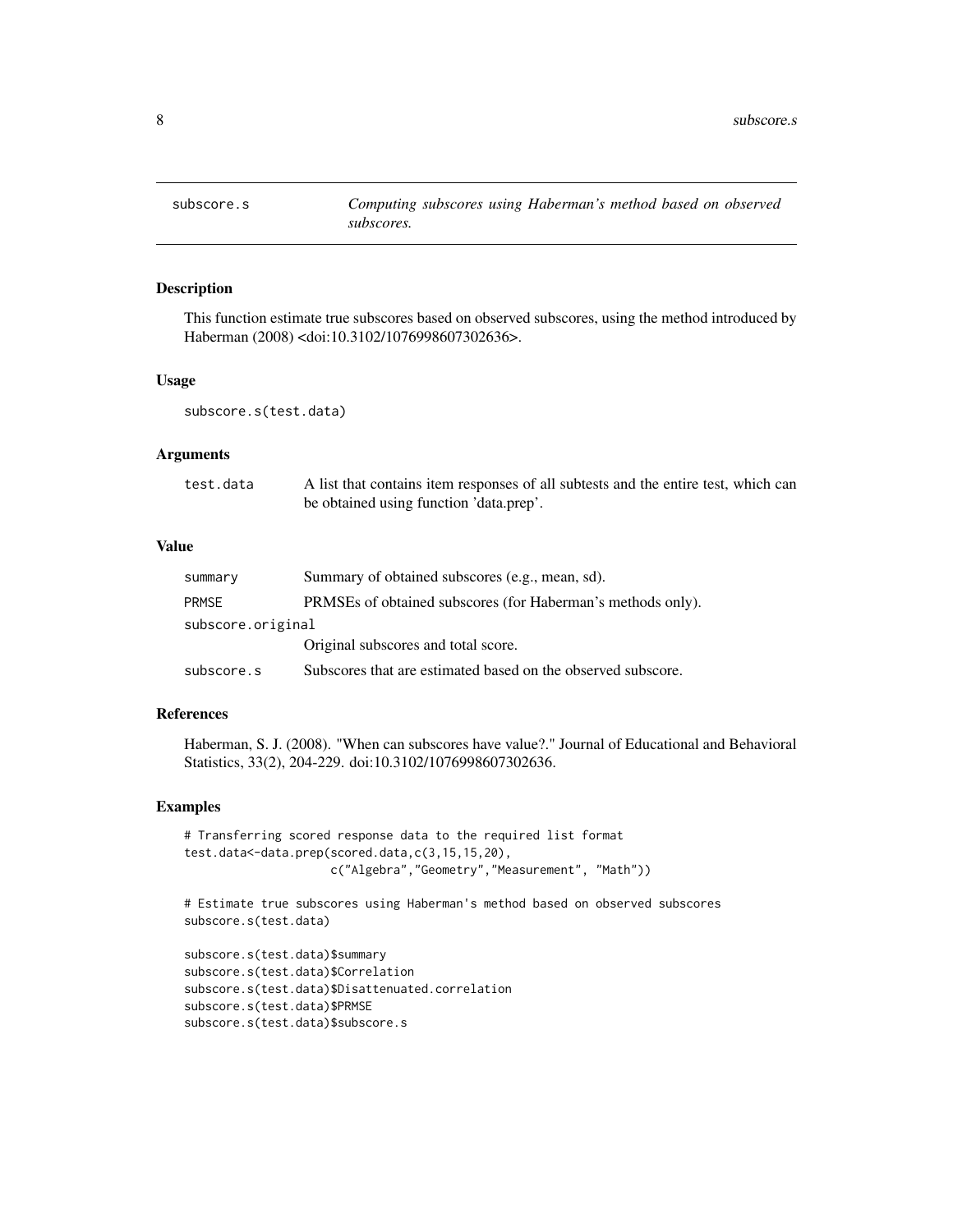<span id="page-7-0"></span>

This function estimate true subscores based on observed subscores, using the method introduced by Haberman (2008) <doi:10.3102/1076998607302636>.

#### Usage

subscore.s(test.data)

#### Arguments

| test.data | A list that contains item responses of all subtests and the entire test, which can |
|-----------|------------------------------------------------------------------------------------|
|           | be obtained using function 'data.prep'.                                            |

#### Value

| summary           | Summary of obtained subscores (e.g., mean, sd).              |
|-------------------|--------------------------------------------------------------|
| <b>PRMSE</b>      | PRMSEs of obtained subscores (for Haberman's methods only).  |
| subscore.original |                                                              |
|                   | Original subscores and total score.                          |
| subscore.s        | Subscores that are estimated based on the observed subscore. |

#### References

Haberman, S. J. (2008). "When can subscores have value?." Journal of Educational and Behavioral Statistics, 33(2), 204-229. doi:10.3102/1076998607302636.

#### Examples

```
# Transferring scored response data to the required list format
test.data<-data.prep(scored.data,c(3,15,15,20),
                    c("Algebra","Geometry","Measurement", "Math"))
```
# Estimate true subscores using Haberman's method based on observed subscores subscore.s(test.data)

```
subscore.s(test.data)$summary
subscore.s(test.data)$Correlation
subscore.s(test.data)$Disattenuated.correlation
subscore.s(test.data)$PRMSE
subscore.s(test.data)$subscore.s
```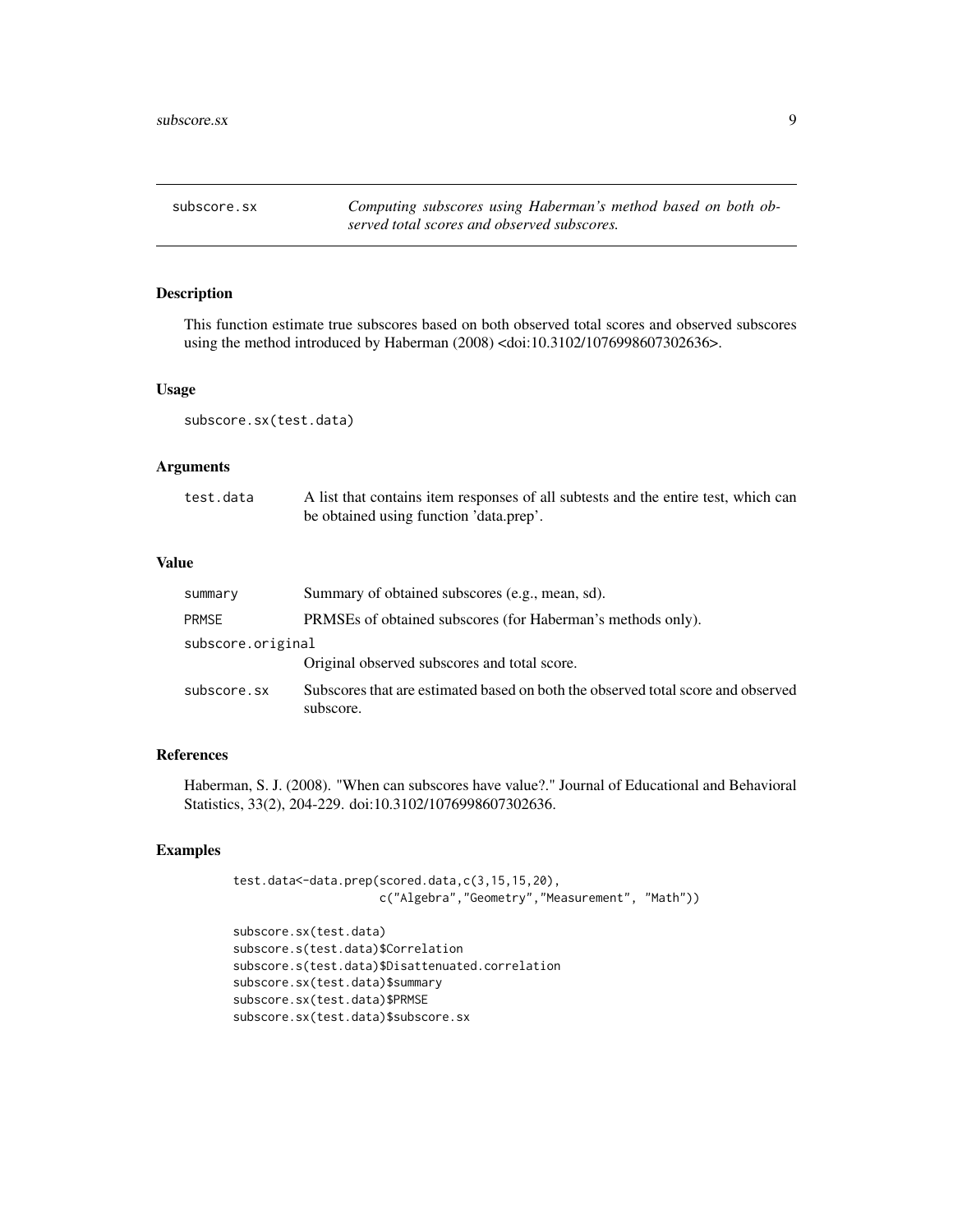<span id="page-8-0"></span>subscore.sx *Computing subscores using Haberman's method based on both observed total scores and observed subscores.*

#### Description

This function estimate true subscores based on both observed total scores and observed subscores using the method introduced by Haberman (2008) <doi:10.3102/1076998607302636>.

#### Usage

subscore.sx(test.data)

#### Arguments

| test.data | A list that contains item responses of all subtests and the entire test, which can |
|-----------|------------------------------------------------------------------------------------|
|           | be obtained using function 'data.prep'.                                            |

#### Value

| summary           | Summary of obtained subscores (e.g., mean, sd).                                               |
|-------------------|-----------------------------------------------------------------------------------------------|
| <b>PRMSE</b>      | PRMSEs of obtained subscores (for Haberman's methods only).                                   |
| subscore.original |                                                                                               |
|                   | Original observed subscores and total score.                                                  |
| subscore.sx       | Subscores that are estimated based on both the observed total score and observed<br>subscore. |

#### References

Haberman, S. J. (2008). "When can subscores have value?." Journal of Educational and Behavioral Statistics, 33(2), 204-229. doi:10.3102/1076998607302636.

#### Examples

test.data<-data.prep(scored.data,c(3,15,15,20), c("Algebra","Geometry","Measurement", "Math"))

```
subscore.sx(test.data)
subscore.s(test.data)$Correlation
subscore.s(test.data)$Disattenuated.correlation
subscore.sx(test.data)$summary
subscore.sx(test.data)$PRMSE
subscore.sx(test.data)$subscore.sx
```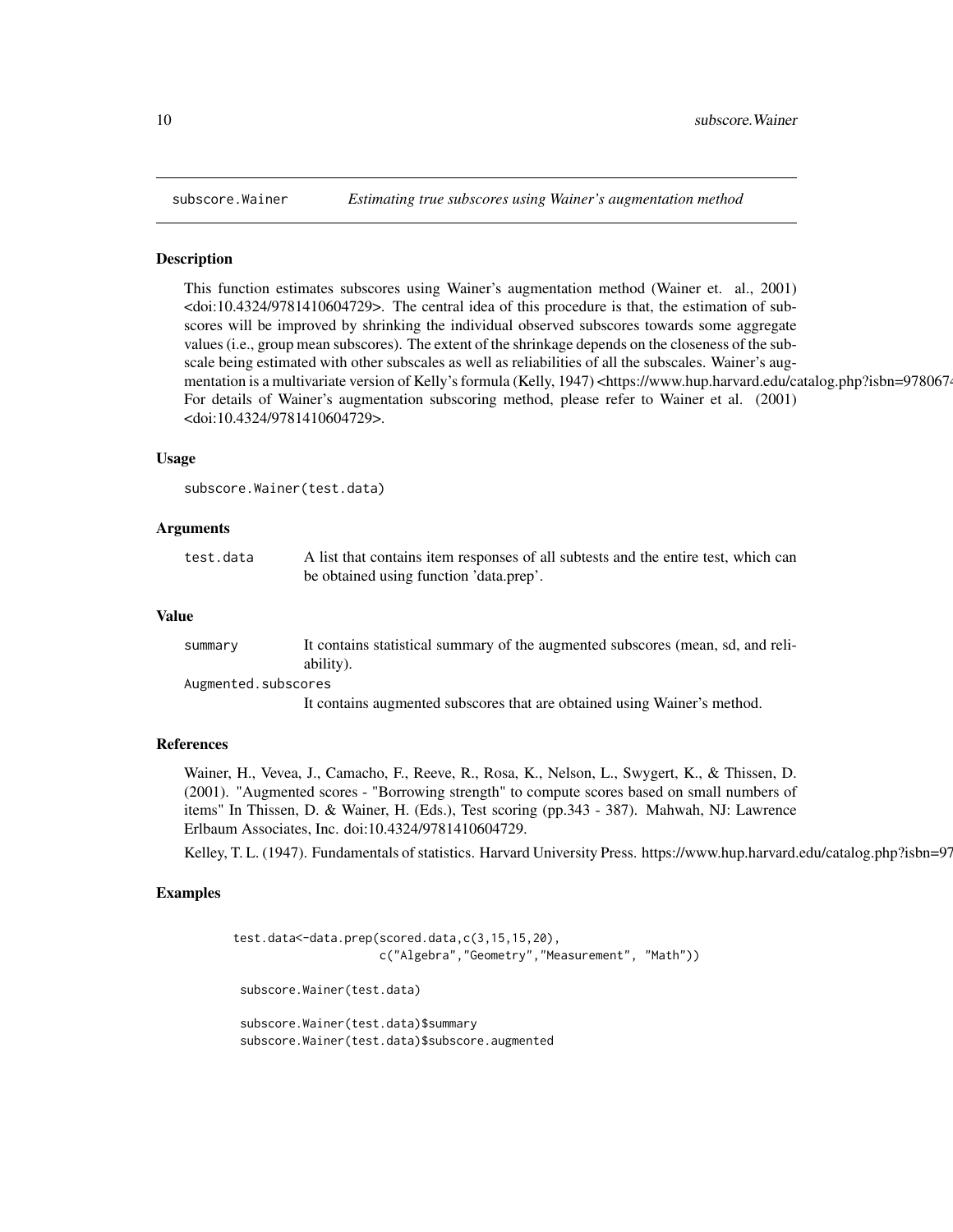This function estimates subscores using Wainer's augmentation method (Wainer et. al., 2001) <doi:10.4324/9781410604729>. The central idea of this procedure is that, the estimation of subscores will be improved by shrinking the individual observed subscores towards some aggregate values (i.e., group mean subscores). The extent of the shrinkage depends on the closeness of the subscale being estimated with other subscales as well as reliabilities of all the subscales. Wainer's augmentation is a multivariate version of Kelly's formula (Kelly, 1947) <https://www.hup.harvard.edu/catalog.php?isbn=9780674 For details of Wainer's augmentation subscoring method, please refer to Wainer et al. (2001) <doi:10.4324/9781410604729>.

#### Usage

```
subscore.Wainer(test.data)
```
#### Arguments

| test.data | A list that contains item responses of all subtests and the entire test, which can |
|-----------|------------------------------------------------------------------------------------|
|           | be obtained using function 'data.prep'.                                            |

#### Value

| summary             | It contains statistical summary of the augmented subscores (mean, sd, and reli- |
|---------------------|---------------------------------------------------------------------------------|
|                     | ability).                                                                       |
| Augmented.subscores |                                                                                 |
|                     | It contains augmented subscores that are obtained using Wainer's method.        |

#### References

Wainer, H., Vevea, J., Camacho, F., Reeve, R., Rosa, K., Nelson, L., Swygert, K., & Thissen, D. (2001). "Augmented scores - "Borrowing strength" to compute scores based on small numbers of items" In Thissen, D. & Wainer, H. (Eds.), Test scoring (pp.343 - 387). Mahwah, NJ: Lawrence Erlbaum Associates, Inc. doi:10.4324/9781410604729.

Kelley, T. L. (1947). Fundamentals of statistics. Harvard University Press. https://www.hup.harvard.edu/catalog.php?isbn=97

#### Examples

```
test.data<-data.prep(scored.data,c(3,15,15,20),
                     c("Algebra","Geometry","Measurement", "Math"))
 subscore.Wainer(test.data)
 subscore.Wainer(test.data)$summary
 subscore.Wainer(test.data)$subscore.augmented
```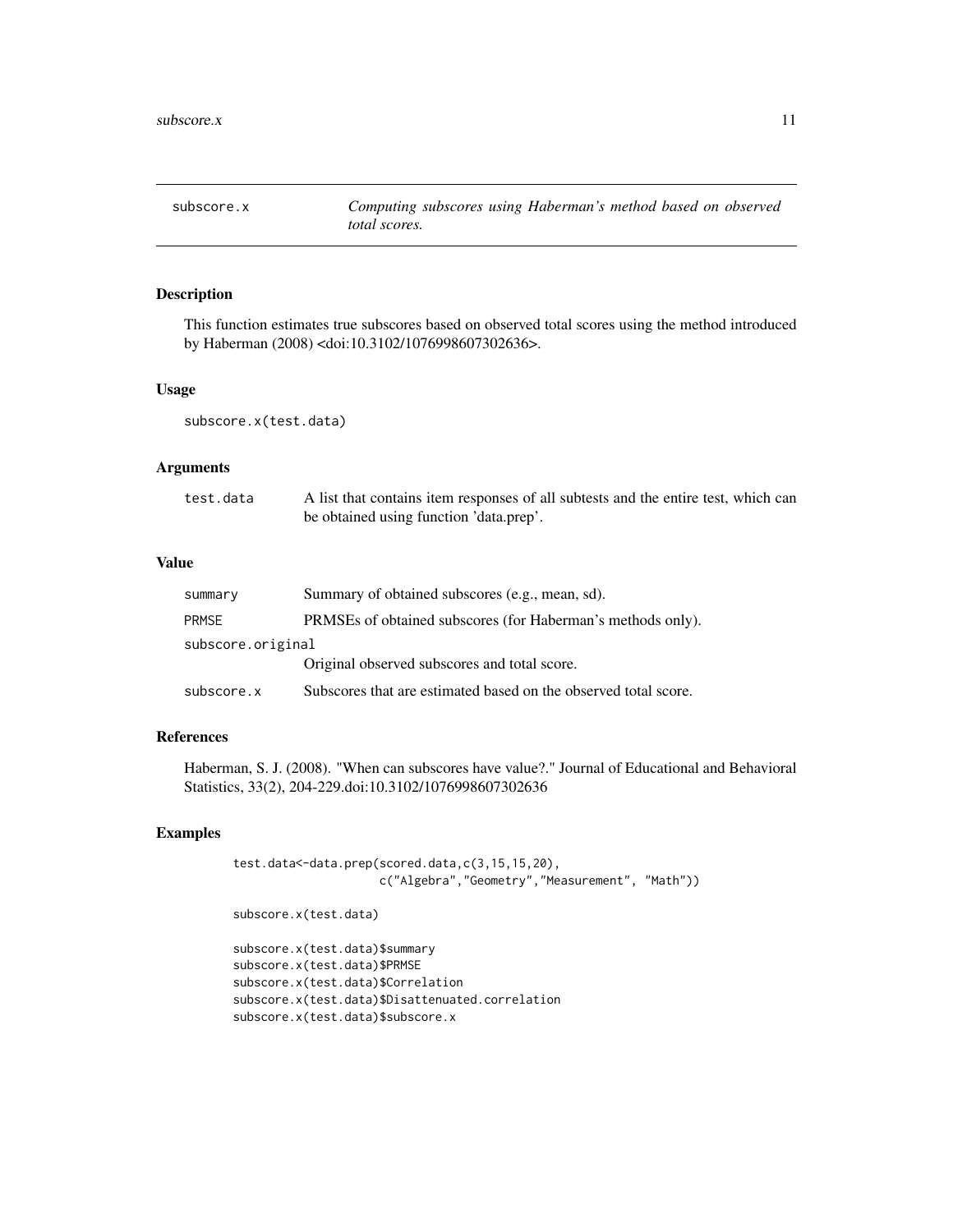<span id="page-10-0"></span>

This function estimates true subscores based on observed total scores using the method introduced by Haberman (2008) <doi:10.3102/1076998607302636>.

#### Usage

subscore.x(test.data)

#### Arguments

| test.data | A list that contains item responses of all subtests and the entire test, which can |
|-----------|------------------------------------------------------------------------------------|
|           | be obtained using function 'data.prep'.                                            |

#### Value

| summary           | Summary of obtained subscores (e.g., mean, sd).                 |
|-------------------|-----------------------------------------------------------------|
| <b>PRMSE</b>      | PRMSEs of obtained subscores (for Haberman's methods only).     |
| subscore.original |                                                                 |
|                   | Original observed subscores and total score.                    |
| subscore.x        | Subscores that are estimated based on the observed total score. |

#### References

Haberman, S. J. (2008). "When can subscores have value?." Journal of Educational and Behavioral Statistics, 33(2), 204-229.doi:10.3102/1076998607302636

#### Examples

```
test.data<-data.prep(scored.data,c(3,15,15,20),
                     c("Algebra","Geometry","Measurement", "Math"))
```
subscore.x(test.data)

subscore.x(test.data)\$summary subscore.x(test.data)\$PRMSE subscore.x(test.data)\$Correlation subscore.x(test.data)\$Disattenuated.correlation subscore.x(test.data)\$subscore.x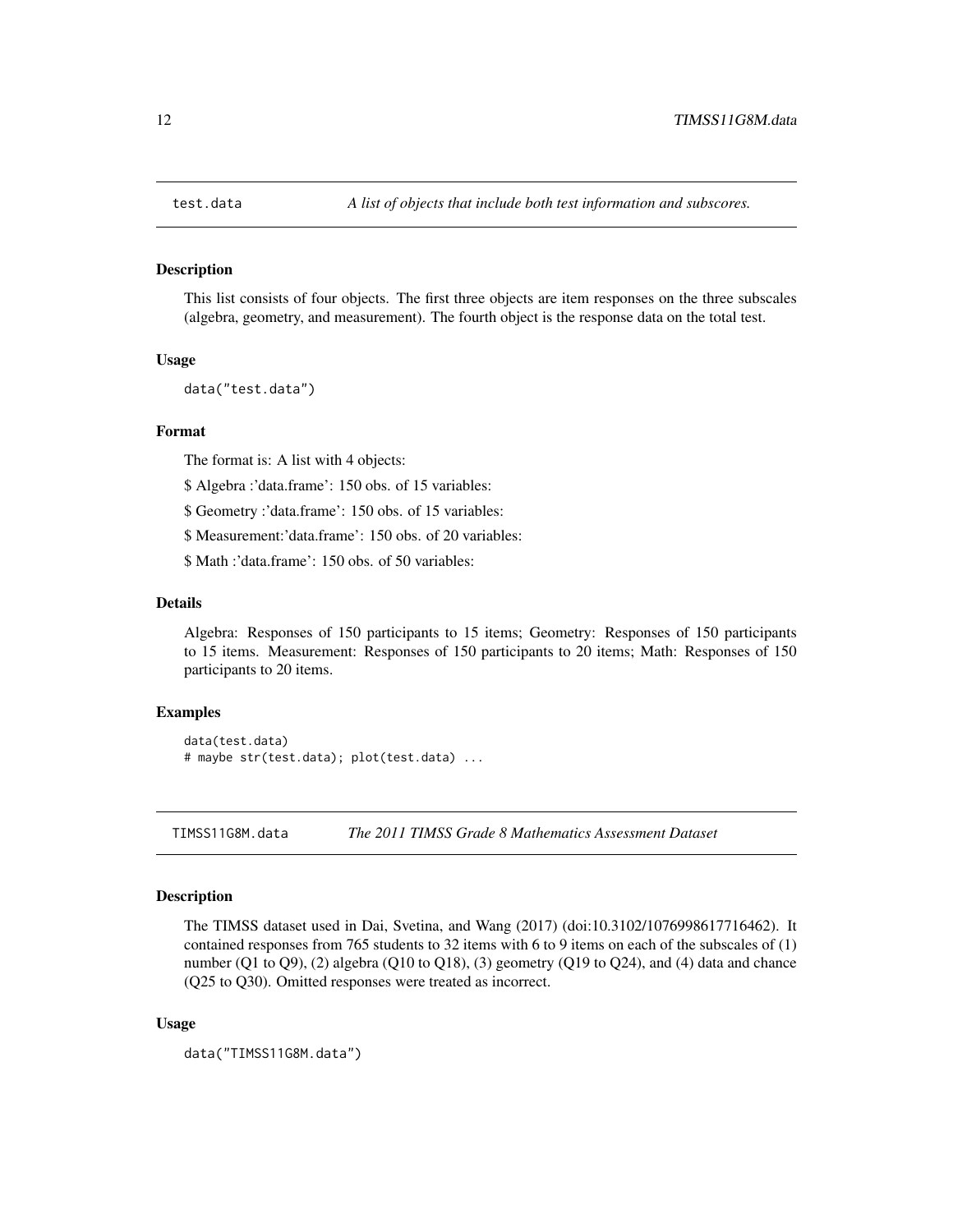<span id="page-11-0"></span>

This list consists of four objects. The first three objects are item responses on the three subscales (algebra, geometry, and measurement). The fourth object is the response data on the total test.

#### Usage

data("test.data")

#### Format

The format is: A list with 4 objects:

\$ Algebra :'data.frame': 150 obs. of 15 variables:

\$ Geometry :'data.frame': 150 obs. of 15 variables:

\$ Measurement:'data.frame': 150 obs. of 20 variables:

\$ Math :'data.frame': 150 obs. of 50 variables:

#### Details

Algebra: Responses of 150 participants to 15 items; Geometry: Responses of 150 participants to 15 items. Measurement: Responses of 150 participants to 20 items; Math: Responses of 150 participants to 20 items.

#### Examples

```
data(test.data)
# maybe str(test.data); plot(test.data) ...
```
TIMSS11G8M.data *The 2011 TIMSS Grade 8 Mathematics Assessment Dataset*

#### Description

The TIMSS dataset used in Dai, Svetina, and Wang (2017) (doi:10.3102/1076998617716462). It contained responses from 765 students to 32 items with 6 to 9 items on each of the subscales of (1) number (Q1 to Q9), (2) algebra (Q10 to Q18), (3) geometry (Q19 to Q24), and (4) data and chance (Q25 to Q30). Omitted responses were treated as incorrect.

#### Usage

```
data("TIMSS11G8M.data")
```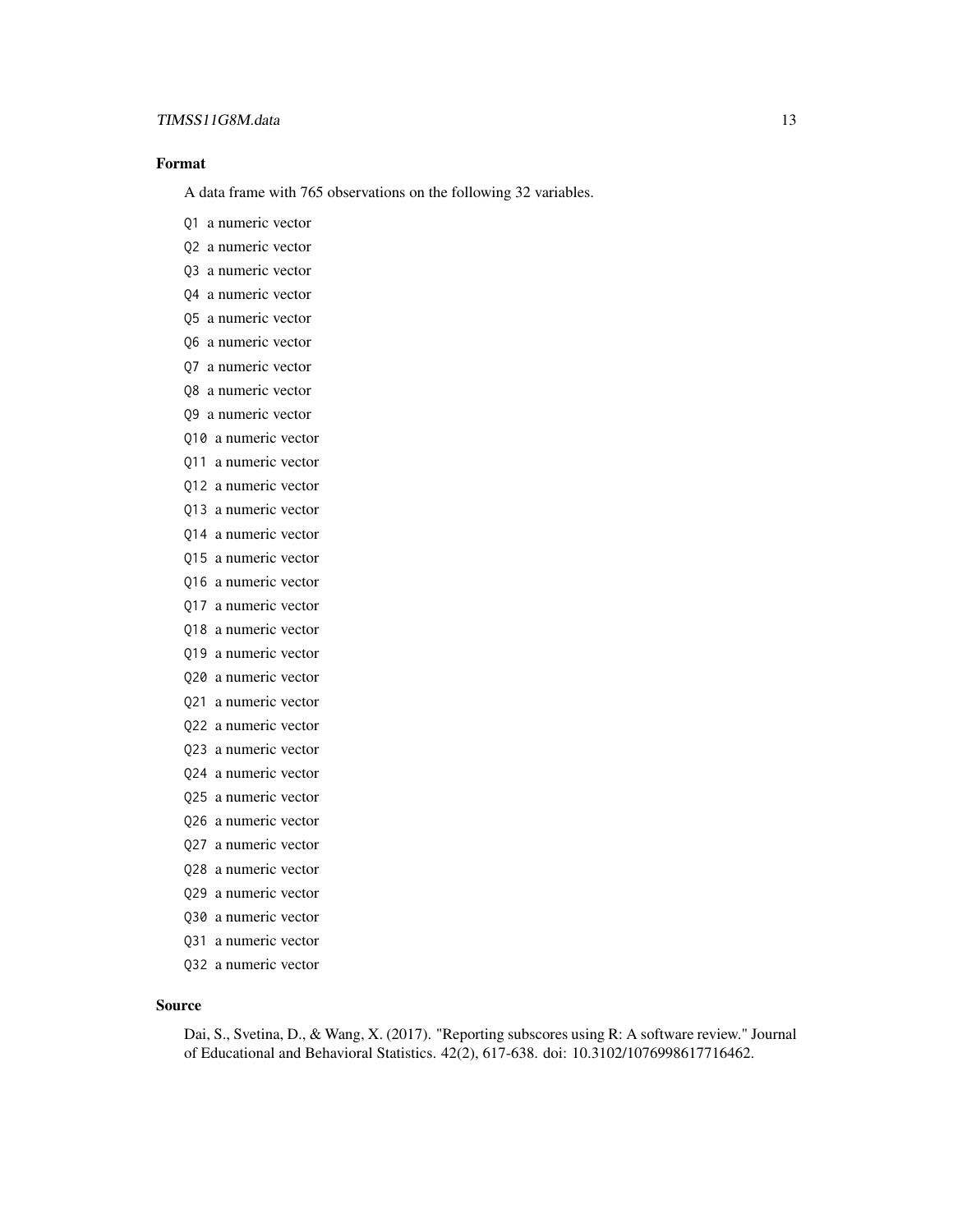#### TIMSS11G8M.data 13

#### Format

A data frame with 765 observations on the following 32 variables.

- Q1 a numeric vector
- Q2 a numeric vector
- Q3 a numeric vector
- Q4 a numeric vector
- Q5 a numeric vector
- Q6 a numeric vector
- Q7 a numeric vector
- Q8 a numeric vector
- Q9 a numeric vector
- Q10 a numeric vector
- Q11 a numeric vector
- Q12 a numeric vector
- Q13 a numeric vector
- Q14 a numeric vector
- Q15 a numeric vector
- Q16 a numeric vector
- Q17 a numeric vector
- Q18 a numeric vector
- Q19 a numeric vector
- Q20 a numeric vector
- Q21 a numeric vector
- Q22 a numeric vector
- Q23 a numeric vector
- Q24 a numeric vector
- Q25 a numeric vector
- Q26 a numeric vector
- Q27 a numeric vector
- Q28 a numeric vector
- Q29 a numeric vector
- Q30 a numeric vector
- Q31 a numeric vector
- Q32 a numeric vector

#### Source

Dai, S., Svetina, D., & Wang, X. (2017). "Reporting subscores using R: A software review." Journal of Educational and Behavioral Statistics. 42(2), 617-638. doi: 10.3102/1076998617716462.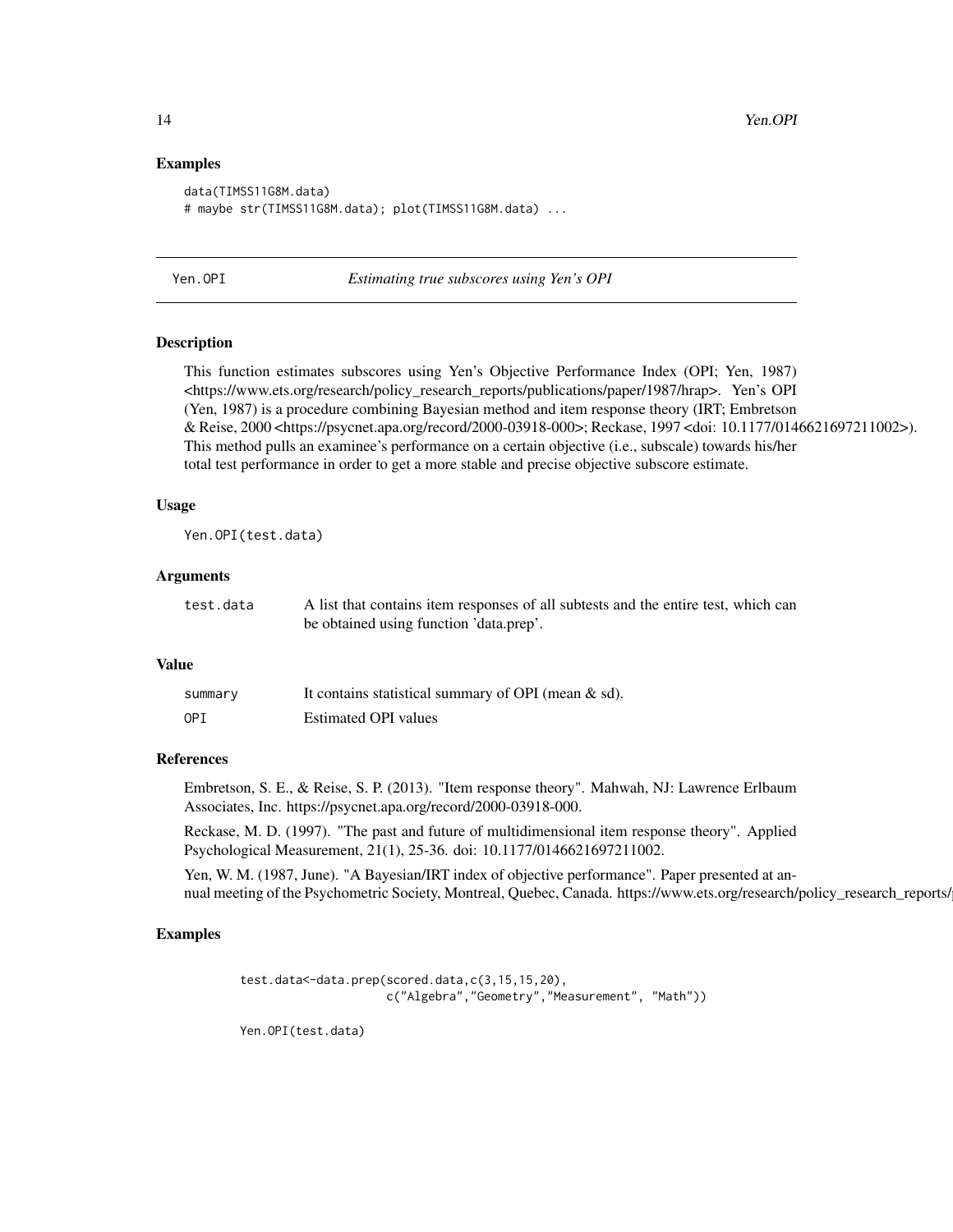#### Examples

```
data(TIMSS11G8M.data)
# maybe str(TIMSS11G8M.data); plot(TIMSS11G8M.data) ...
```
Yen.OPI *Estimating true subscores using Yen's OPI*

#### **Description**

This function estimates subscores using Yen's Objective Performance Index (OPI; Yen, 1987) <https://www.ets.org/research/policy\_research\_reports/publications/paper/1987/hrap>. Yen's OPI (Yen, 1987) is a procedure combining Bayesian method and item response theory (IRT; Embretson & Reise, 2000 <https://psycnet.apa.org/record/2000-03918-000>; Reckase, 1997 <doi: 10.1177/0146621697211002>). This method pulls an examinee's performance on a certain objective (i.e., subscale) towards his/her total test performance in order to get a more stable and precise objective subscore estimate.

#### Usage

Yen.OPI(test.data)

#### **Arguments**

| test.data | A list that contains item responses of all subtests and the entire test, which can |
|-----------|------------------------------------------------------------------------------------|
|           | be obtained using function 'data.prep'.                                            |

#### Value

| summary | It contains statistical summary of OPI (mean $\&$ sd). |
|---------|--------------------------------------------------------|
| OPI     | Estimated OPI values                                   |

#### References

Embretson, S. E., & Reise, S. P. (2013). "Item response theory". Mahwah, NJ: Lawrence Erlbaum Associates, Inc. https://psycnet.apa.org/record/2000-03918-000.

Reckase, M. D. (1997). "The past and future of multidimensional item response theory". Applied Psychological Measurement, 21(1), 25-36. doi: 10.1177/0146621697211002.

Yen, W. M. (1987, June). "A Bayesian/IRT index of objective performance". Paper presented at annual meeting of the Psychometric Society, Montreal, Quebec, Canada. https://www.ets.org/research/policy\_research\_reports/

#### Examples

```
test.data<-data.prep(scored.data,c(3,15,15,20),
                    c("Algebra","Geometry","Measurement", "Math"))
```
Yen.OPI(test.data)

<span id="page-13-0"></span>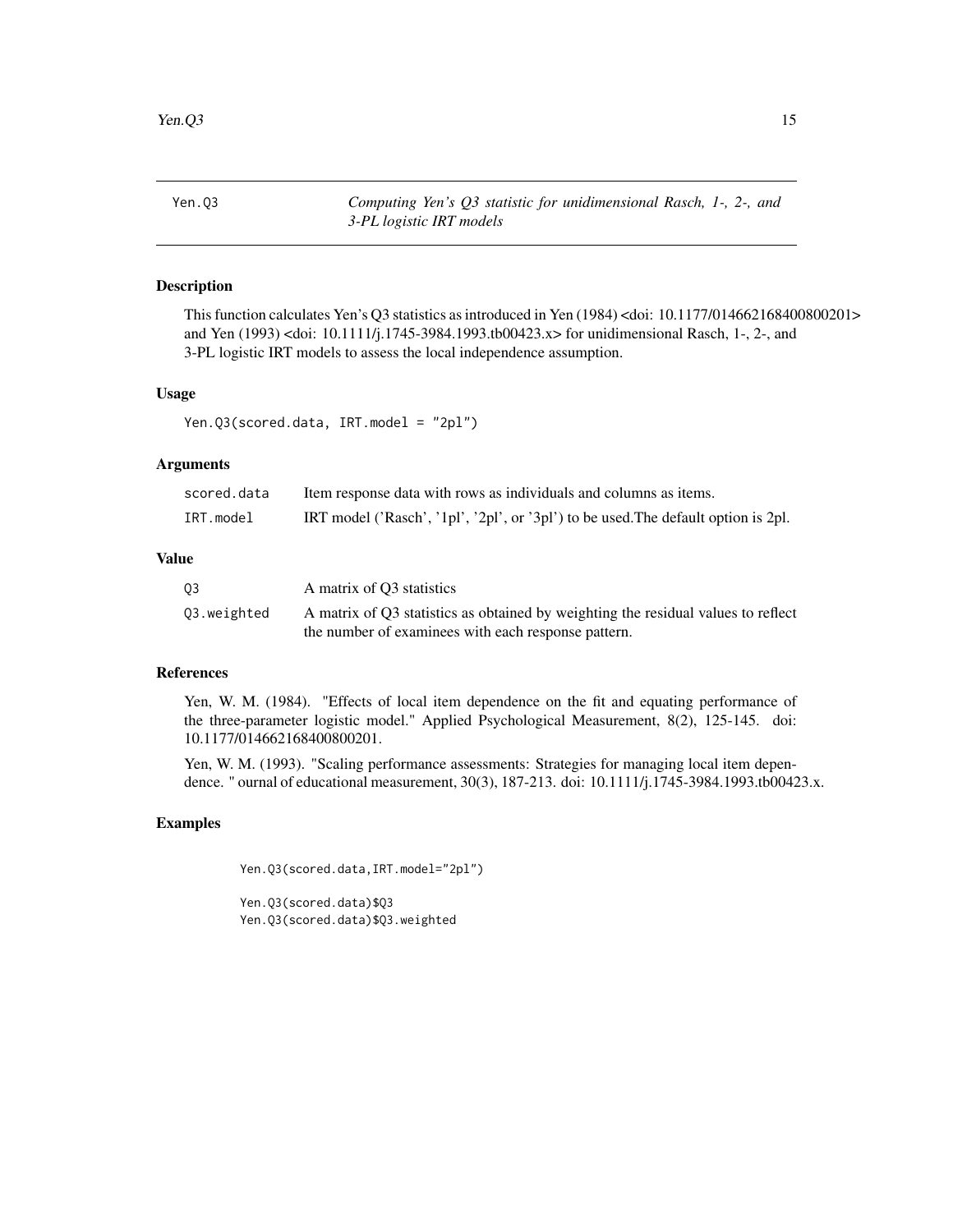<span id="page-14-0"></span>

Yen.Q3 *Computing Yen's Q3 statistic for unidimensional Rasch, 1-, 2-, and 3-PL logistic IRT models*

#### Description

This function calculates Yen's Q3 statistics as introduced in Yen (1984) <doi: 10.1177/014662168400800201> and Yen (1993) <doi: 10.1111/j.1745-3984.1993.tb00423.x> for unidimensional Rasch, 1-, 2-, and 3-PL logistic IRT models to assess the local independence assumption.

#### Usage

Yen.Q3(scored.data, IRT.model = "2pl")

#### Arguments

| scored.data | Item response data with rows as individuals and columns as items.                  |
|-------------|------------------------------------------------------------------------------------|
| IRT.model   | IRT model ('Rasch', '1pl', '2pl', or '3pl') to be used. The default option is 2pl. |

#### Value

| 03          | A matrix of O3 statistics                                                         |
|-------------|-----------------------------------------------------------------------------------|
| 03.weighted | A matrix of Q3 statistics as obtained by weighting the residual values to reflect |
|             | the number of examinees with each response pattern.                               |

#### References

Yen, W. M. (1984). "Effects of local item dependence on the fit and equating performance of the three-parameter logistic model." Applied Psychological Measurement, 8(2), 125-145. doi: 10.1177/014662168400800201.

Yen, W. M. (1993). "Scaling performance assessments: Strategies for managing local item dependence. " ournal of educational measurement, 30(3), 187-213. doi: 10.1111/j.1745-3984.1993.tb00423.x.

#### Examples

Yen.Q3(scored.data,IRT.model="2pl")

Yen.Q3(scored.data)\$Q3 Yen.Q3(scored.data)\$Q3.weighted